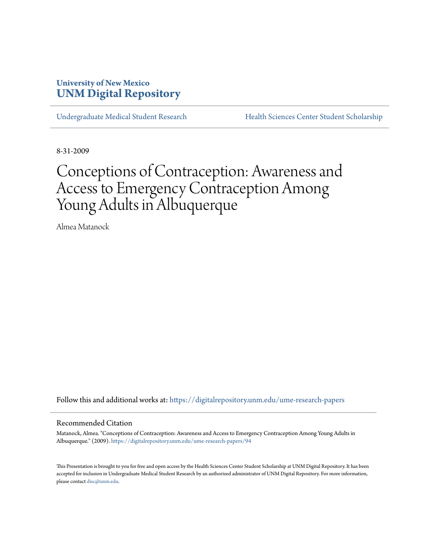# **University of New Mexico [UNM Digital Repository](https://digitalrepository.unm.edu?utm_source=digitalrepository.unm.edu%2Fume-research-papers%2F94&utm_medium=PDF&utm_campaign=PDFCoverPages)**

[Undergraduate Medical Student Research](https://digitalrepository.unm.edu/ume-research-papers?utm_source=digitalrepository.unm.edu%2Fume-research-papers%2F94&utm_medium=PDF&utm_campaign=PDFCoverPages) [Health Sciences Center Student Scholarship](https://digitalrepository.unm.edu/hsc-students?utm_source=digitalrepository.unm.edu%2Fume-research-papers%2F94&utm_medium=PDF&utm_campaign=PDFCoverPages)

8-31-2009

# Conceptions of Contraception: Awareness and Access to Emergency Contraception Among Young Adults in Albuquerque

Almea Matanock

Follow this and additional works at: [https://digitalrepository.unm.edu/ume-research-papers](https://digitalrepository.unm.edu/ume-research-papers?utm_source=digitalrepository.unm.edu%2Fume-research-papers%2F94&utm_medium=PDF&utm_campaign=PDFCoverPages)

#### Recommended Citation

Matanock, Almea. "Conceptions of Contraception: Awareness and Access to Emergency Contraception Among Young Adults in Albuquerque." (2009). [https://digitalrepository.unm.edu/ume-research-papers/94](https://digitalrepository.unm.edu/ume-research-papers/94?utm_source=digitalrepository.unm.edu%2Fume-research-papers%2F94&utm_medium=PDF&utm_campaign=PDFCoverPages)

This Presentation is brought to you for free and open access by the Health Sciences Center Student Scholarship at UNM Digital Repository. It has been accepted for inclusion in Undergraduate Medical Student Research by an authorized administrator of UNM Digital Repository. For more information, please contact [disc@unm.edu.](mailto:disc@unm.edu)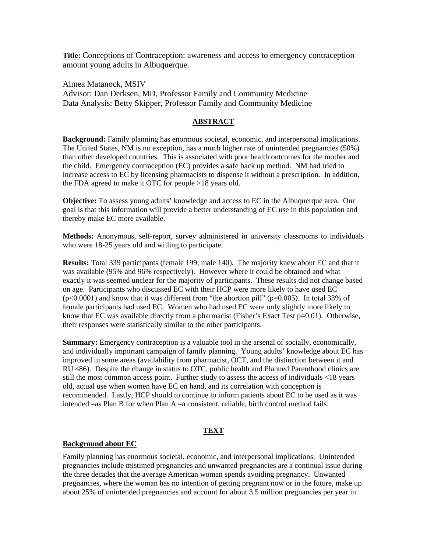**Title:** Conceptions of Contraception: awareness and access to emergency contraception amount young adults in Albuquerque.

Almea Matanock, MSIV Advisor: Dan Derksen, MD, Professor Family and Community Medicine Data Analysis: Betty Skipper, Professor Family and Community Medicine

# **ABSTRACT**

**Background:** Family planning has enormous societal, economic, and interpersonal implications. The United States, NM is no exception, has a much higher rate of unintended pregnancies (50%) than other developed countries. This is associated with poor health outcomes for the mother and the child. Emergency contraception (EC) provides a safe back up method. NM had tried to increase access to EC by licensing pharmacists to dispense it without a prescription. In addition, the FDA agreed to make it OTC for people >18 years old.

**Objective:** To assess young adults' knowledge and access to EC in the Albuquerque area. Our goal is that this information will provide a better understanding of EC use in this population and thereby make EC more available.

**Methods:** Anonymous, self-report, survey administered in university classrooms to individuals who were 18-25 years old and willing to participate.

**Results:** Total 339 participants (female 199, male 140). The majority knew about EC and that it was available (95% and 96% respectively). However where it could be obtained and what exactly it was seemed unclear for the majority of participants. These results did not change based on age. Participants who discussed EC with their HCP were more likely to have used EC  $(p<0.0001)$  and know that it was different from "the abortion pill" ( $p=0.005$ ). In total 33% of female participants had used EC. Women who had used EC were only slightly more likely to know that EC was available directly from a pharmacist (Fisher's Exact Test  $p=0.01$ ). Otherwise, their responses were statistically similar to the other participants.

**Summary:** Emergency contraception is a valuable tool in the arsenal of socially, economically, and individually important campaign of family planning. Young adults' knowledge about EC has improved in some areas (availability from pharmacist, OCT, and the distinction between it and RU 486). Despite the change in status to OTC, public health and Planned Parenthood clinics are still the most common access point. Further study to assess the access of individuals <18 years old, actual use when women have EC on hand, and its correlation with conception is recommended. Lastly, HCP should to continue to inform patients about EC to be used as it was intended –as Plan B for when Plan A –a consistent, reliable, birth control method fails.

#### **TEXT**

#### **Background about EC**

Family planning has enormous societal, economic, and interpersonal implications. Unintended pregnancies include mistimed pregnancies and unwanted pregnancies are a continual issue during the three decades that the average American woman spends avoiding pregnancy. Unwanted pregnancies, where the woman has no intention of getting pregnant now or in the future, make up about 25% of unintended pregnancies and account for about 3.5 million pregnancies per year in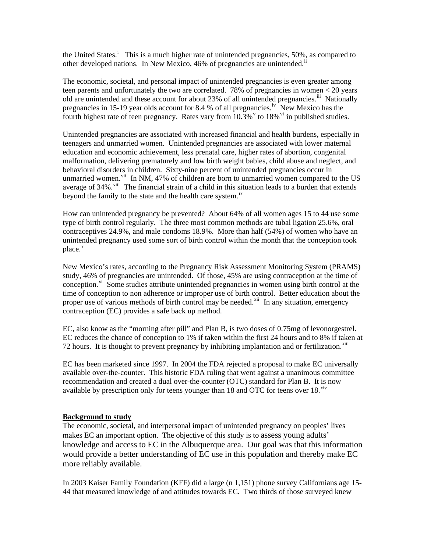the Un[i](#page-9-0)ted States.<sup>i</sup> This is a much higher rate of unintended pregnancies, 50%, as compared to other developed nations. In New Mexico, 46% of pregnancies are unintended.<sup>[ii](#page-9-1)</sup>

The economic, societal, and personal impact of unintended pregnancies is even greater among teen parents and unfortunately the two are correlated. 78% of pregnancies in women < 20 years old are unintended and these account for about 23% of all unintended pregnancies.<sup>[iii](#page-9-1)</sup> Nationally pregnancies in 15-19 year olds account for 8.4 % of all pregnancies.<sup>[iv](#page-9-1)</sup> New Mexico has the fourth highest rate of teen pregnancy. Rates [v](#page-9-1)ary from  $10.3\%$  v to 18% [vi](#page-9-1) in published studies.

Unintended pregnancies are associated with increased financial and health burdens, especially in teenagers and unmarried women. Unintended pregnancies are associated with lower maternal education and economic achievement, less prenatal care, higher rates of abortion, congenital malformation, delivering prematurely and low birth weight babies, child abuse and neglect, and behavioral disorders in children. Sixty-nine percent of unintended pregnancies occur in unmarried women.<sup>[vii](#page-9-1)</sup> In NM, 47% of children are born to unmarried women compared to the US average of 34%.<sup>[viii](#page-9-1)</sup> The financial strain of a child in this situation leads to a burden that extends beyond the family to the state and the health care system.<sup>[ix](#page-9-1)</sup>

How can unintended pregnancy be prevented? About 64% of all women ages 15 to 44 use some type of birth control regularly. The three most common methods are tubal ligation 25.6%, oral contraceptives 24.9%, and male condoms 18.9%. More than half (54%) of women who have an unintended pregnancy used some sort of birth control within the month that the conception took  $place<sub>x</sub>$  $place<sub>x</sub>$  $place<sub>x</sub>$ 

New Mexico's rates, according to the Pregnancy Risk Assessment Monitoring System (PRAMS) study, 46% of pregnancies are unintended. Of those, 45% are using contraception at the time of conception.<sup>[xi](#page-9-1)</sup> Some studies attribute unintended pregnancies in women using birth control at the time of conception to non adherence or improper use of birth control. Better education about the proper use of various methods of birth control may be needed.<sup> $xi$  In any situation, emergency</sup> contraception (EC) provides a safe back up method.

EC, also know as the "morning after pill" and Plan B, is two doses of 0.75mg of levonorgestrel. EC reduces the chance of conception to 1% if taken within the first 24 hours and to 8% if taken at 72 hours. It is thought to prevent pregnancy by inhibiting implantation and or fertilization.<sup>[xiii](#page-9-1)</sup>

EC has been marketed since 1997. In 2004 the FDA rejected a proposal to make EC universally available over-the-counter. This historic FDA ruling that went against a unanimous committee recommendation and created a dual over-the-counter (OTC) standard for Plan B. It is now available by prescription only for teens younger than  $18$  and OTC for teens over  $18.^{\text{xiv}}$  $18.^{\text{xiv}}$  $18.^{\text{xiv}}$ 

# **Background to study**

The economic, societal, and interpersonal impact of unintended pregnancy on peoples' lives makes EC an important option. The objective of this study is to assess young adults' knowledge and access to EC in the Albuquerque area. Our goal was that this information would provide a better understanding of EC use in this population and thereby make EC more reliably available.

In 2003 Kaiser Family Foundation (KFF) did a large (n 1,151) phone survey Californians age 15- 44 that measured knowledge of and attitudes towards EC. Two thirds of those surveyed knew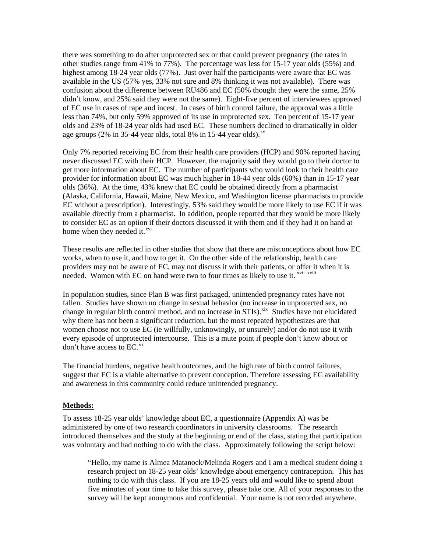there was something to do after unprotected sex or that could prevent pregnancy (the rates in other studies range from 41% to 77%). The percentage was less for 15-17 year olds (55%) and highest among 18-24 year olds (77%). Just over half the participants were aware that EC was available in the US (57% yes, 33% not sure and 8% thinking it was not available). There was confusion about the difference between RU486 and EC (50% thought they were the same, 25% didn't know, and 25% said they were not the same). Eight-five percent of interviewees approved of EC use in cases of rape and incest. In cases of birth control failure, the approval was a little less than 74%, but only 59% approved of its use in unprotected sex. Ten percent of 15-17 year olds and 23% of 18-24 year olds had used EC. These numbers declined to dramatically in older age groups (2% in 35-44 year olds, total 8% in 15-44 year olds). $\frac{xy}{x}$ 

Only 7% reported receiving EC from their health care providers (HCP) and 90% reported having never discussed EC with their HCP. However, the majority said they would go to their doctor to get more information about EC. The number of participants who would look to their health care provider for information about EC was much higher in 18-44 year olds (60%) than in 15-17 year olds (36%). At the time, 43% knew that EC could be obtained directly from a pharmacist (Alaska, California, Hawaii, Maine, New Mexico, and Washington license pharmacists to provide EC without a prescription). Interestingly, 53% said they would be more likely to use EC if it was available directly from a pharmacist. In addition, people reported that they would be more likely to consider EC as an option if their doctors discussed it with them and if they had it on hand at home when they needed it.<sup>[xvi](#page-9-1)</sup>

These results are reflected in other studies that show that there are misconceptions about how EC works, when to use it, and how to get it. On the other side of the relationship, health care providers may not be aware of EC, may not discuss it with their patients, or offer it when it is needed. Women with EC on hand were two to four times as likely to use it. <sup>[xvii](#page-9-1) [xviii](#page-9-1)</sup>

In population studies, since Plan B was first packaged, unintended pregnancy rates have not fallen. Studies have shown no change in sexual behavior (no increase in unprotected sex, no change in regular birth control method, and no increase in  $STIs)$ .<sup>[xix](#page-9-1)</sup> Studies have not elucidated why there has not been a significant reduction, but the most repeated hypothesizes are that women choose not to use EC (ie willfully, unknowingly, or unsurely) and/or do not use it with every episode of unprotected intercourse. This is a mute point if people don't know about or don't have access to EC.<sup>[xx](#page-9-1)</sup>

The financial burdens, negative health outcomes, and the high rate of birth control failures, suggest that EC is a viable alternative to prevent conception. Therefore assessing EC availability and awareness in this community could reduce unintended pregnancy.

#### **Methods:**

To assess 18-25 year olds' knowledge about EC, a questionnaire (Appendix A) was be administered by one of two research coordinators in university classrooms. The research introduced themselves and the study at the beginning or end of the class, stating that participation was voluntary and had nothing to do with the class. Approximately following the script below:

"Hello, my name is Almea Matanock/Melinda Rogers and I am a medical student doing a research project on 18-25 year olds' knowledge about emergency contraception. This has nothing to do with this class. If you are 18-25 years old and would like to spend about five minutes of your time to take this survey, please take one. All of your responses to the survey will be kept anonymous and confidential. Your name is not recorded anywhere.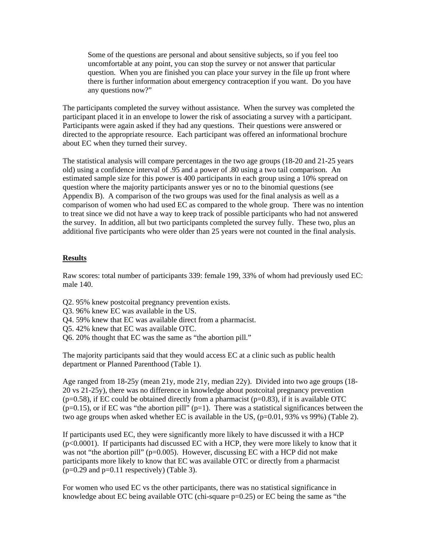Some of the questions are personal and about sensitive subjects, so if you feel too uncomfortable at any point, you can stop the survey or not answer that particular question. When you are finished you can place your survey in the file up front where there is further information about emergency contraception if you want. Do you have any questions now?"

The participants completed the survey without assistance. When the survey was completed the participant placed it in an envelope to lower the risk of associating a survey with a participant. Participants were again asked if they had any questions. Their questions were answered or directed to the appropriate resource. Each participant was offered an informational brochure about EC when they turned their survey.

The statistical analysis will compare percentages in the two age groups (18-20 and 21-25 years old) using a confidence interval of .95 and a power of .80 using a two tail comparison. An estimated sample size for this power is 400 participants in each group using a 10% spread on question where the majority participants answer yes or no to the binomial questions (see Appendix B). A comparison of the two groups was used for the final analysis as well as a comparison of women who had used EC as compared to the whole group. There was no intention to treat since we did not have a way to keep track of possible participants who had not answered the survey. In addition, all but two participants completed the survey fully. These two, plus an additional five participants who were older than 25 years were not counted in the final analysis.

# **Results**

Raw scores: total number of participants 339: female 199, 33% of whom had previously used EC: male 140.

- Q2. 95% knew postcoital pregnancy prevention exists.
- Q3. 96% knew EC was available in the US.
- Q4. 59% knew that EC was available direct from a pharmacist.
- Q5. 42% knew that EC was available OTC.
- Q6. 20% thought that EC was the same as "the abortion pill."

The majority participants said that they would access EC at a clinic such as public health department or Planned Parenthood (Table 1).

Age ranged from 18-25y (mean 21y, mode 21y, median 22y). Divided into two age groups (18- 20 vs 21-25y), there was no difference in knowledge about postcoital pregnancy prevention  $(p=0.58)$ , if EC could be obtained directly from a pharmacist  $(p=0.83)$ , if it is available OTC  $(p=0.15)$ , or if EC was "the abortion pill"  $(p=1)$ . There was a statistical significances between the two age groups when asked whether EC is available in the US,  $(p=0.01, 93\%$  vs 99%) (Table 2).

If participants used EC, they were significantly more likely to have discussed it with a HCP (p<0.0001). If participants had discussed EC with a HCP, they were more likely to know that it was not "the abortion pill" ( $p=0.005$ ). However, discussing EC with a HCP did not make participants more likely to know that EC was available OTC or directly from a pharmacist  $(p=0.29$  and  $p=0.11$  respectively) (Table 3).

For women who used EC vs the other participants, there was no statistical significance in knowledge about EC being available OTC (chi-square  $p=0.25$ ) or EC being the same as "the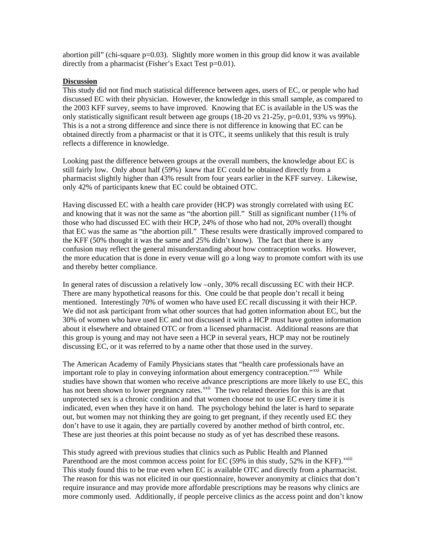abortion pill" (chi-square p=0.03). Slightly more women in this group did know it was available directly from a pharmacist (Fisher's Exact Test p=0.01).

### **Discussion**

This study did not find much statistical difference between ages, users of EC, or people who had discussed EC with their physician. However, the knowledge in this small sample, as compared to the 2003 KFF survey, seems to have improved. Knowing that EC is available in the US was the only statistically significant result between age groups (18-20 vs 21-25y, p=0.01, 93% vs 99%). This is a not a strong difference and since there is not difference in knowing that EC can be obtained directly from a pharmacist or that it is OTC, it seems unlikely that this result is truly reflects a difference in knowledge.

Looking past the difference between groups at the overall numbers, the knowledge about EC is still fairly low. Only about half (59%) knew that EC could be obtained directly from a pharmacist slightly higher than 43% result from four years earlier in the KFF survey. Likewise, only 42% of participants knew that EC could be obtained OTC.

Having discussed EC with a health care provider (HCP) was strongly correlated with using EC and knowing that it was not the same as "the abortion pill." Still as significant number (11% of those who had discussed EC with their HCP, 24% of those who had not, 20% overall) thought that EC was the same as "the abortion pill." These results were drastically improved compared to the KFF (50% thought it was the same and 25% didn't know). The fact that there is any confusion may reflect the general misunderstanding about how contraception works. However, the more education that is done in every venue will go a long way to promote comfort with its use and thereby better compliance.

In general rates of discussion a relatively low –only, 30% recall discussing EC with their HCP. There are many hypothetical reasons for this. One could be that people don't recall it being mentioned. Interestingly 70% of women who have used EC recall discussing it with their HCP. We did not ask participant from what other sources that had gotten information about EC, but the 30% of women who have used EC and not discussed it with a HCP must have gotten information about it elsewhere and obtained OTC or from a licensed pharmacist. Additional reasons are that this group is young and may not have seen a HCP in several years, HCP may not be routinely discussing EC, or it was referred to by a name other that those used in the survey.

The American Academy of Family Physicians states that "health care professionals have an important role to play in conveying information about emergency contraception."<sup>[xxi](#page-9-1)</sup> While studies have shown that women who receive advance prescriptions are more likely to use EC, this has not been shown to lower pregnancy rates.<sup>[xxii](#page-9-1)</sup> The two related theories for this is are that unprotected sex is a chronic condition and that women choose not to use EC every time it is indicated, even when they have it on hand. The psychology behind the later is hard to separate out, but women may not thinking they are going to get pregnant, if they recently used EC they don't have to use it again, they are partially covered by another method of birth control, etc. These are just theories at this point because no study as of yet has described these reasons.

This study agreed with previous studies that clinics such as Public Health and Planned Parenthood are the most common access point for EC (59% in this study, 52% in the KFF).<sup>[xxiii](#page-9-1)</sup> This study found this to be true even when EC is available OTC and directly from a pharmacist. The reason for this was not elicited in our questionnaire, however anonymity at clinics that don't require insurance and may provide more affordable prescriptions may be reasons why clinics are more commonly used. Additionally, if people perceive clinics as the access point and don't know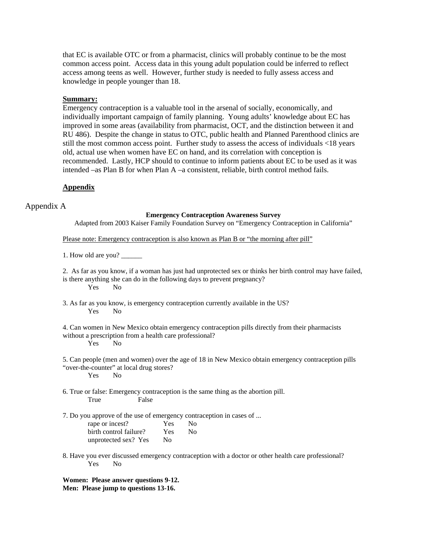that EC is available OTC or from a pharmacist, clinics will probably continue to be the most common access point. Access data in this young adult population could be inferred to reflect access among teens as well. However, further study is needed to fully assess access and knowledge in people younger than 18.

#### **Summary:**

Emergency contraception is a valuable tool in the arsenal of socially, economically, and individually important campaign of family planning. Young adults' knowledge about EC has improved in some areas (availability from pharmacist, OCT, and the distinction between it and RU 486). Despite the change in status to OTC, public health and Planned Parenthood clinics are still the most common access point. Further study to assess the access of individuals <18 years old, actual use when women have EC on hand, and its correlation with conception is recommended. Lastly, HCP should to continue to inform patients about EC to be used as it was intended –as Plan B for when Plan A –a consistent, reliable, birth control method fails.

# **Appendix**

Appendix A

#### **Emergency Contraception Awareness Survey**

Adapted from 2003 Kaiser Family Foundation Survey on "Emergency Contraception in California"

Please note: Emergency contraception is also known as Plan B or "the morning after pill"

1. How old are you?

2. As far as you know, if a woman has just had unprotected sex or thinks her birth control may have failed, is there anything she can do in the following days to prevent pregnancy? Yes No

3. As far as you know, is emergency contraception currently available in the US? Yes No

4. Can women in New Mexico obtain emergency contraception pills directly from their pharmacists without a prescription from a health care professional? Yes No

5. Can people (men and women) over the age of 18 in New Mexico obtain emergency contraception pills "over-the-counter" at local drug stores?

Yes No

6. True or false: Emergency contraception is the same thing as the abortion pill. True False

7. Do you approve of the use of emergency contraception in cases of ...

| rape or incest?        | Yes            | N <sub>0</sub> |
|------------------------|----------------|----------------|
| birth control failure? | <b>Yes</b>     | N <sub>0</sub> |
| unprotected sex? Yes   | N <sub>0</sub> |                |

8. Have you ever discussed emergency contraception with a doctor or other health care professional? Yes No

**Women: Please answer questions 9-12. Men: Please jump to questions 13-16.**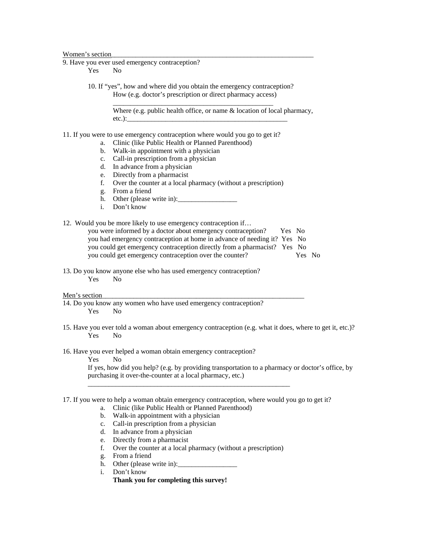#### Women's section

9. Have you ever used emergency contraception?

Yes No

 10. If "yes", how and where did you obtain the emergency contraception? How (e.g. doctor's prescription or direct pharmacy access) \_\_\_\_\_\_\_\_\_\_\_\_\_\_\_\_\_\_\_\_\_\_\_\_\_\_\_\_\_\_\_\_\_\_\_\_\_\_\_\_\_\_\_\_\_\_

> Where (e.g. public health office, or name & location of local pharmacy,  $etc.$ ): $\_\_$

- 11. If you were to use emergency contraception where would you go to get it?
	- a. Clinic (like Public Health or Planned Parenthood)
	- b. Walk-in appointment with a physician
	- c. Call-in prescription from a physician
	- d. In advance from a physician
	- e. Directly from a pharmacist
	- f. Over the counter at a local pharmacy (without a prescription)
	- g. From a friend
	- h. Other (please write in):
	- i. Don't know

12. Would you be more likely to use emergency contraception if…

| you were informed by a doctor about emergency contraception?             | Yes No |        |  |
|--------------------------------------------------------------------------|--------|--------|--|
| you had emergency contraception at home in advance of needing it? Yes No |        |        |  |
| you could get emergency contraception directly from a pharmacist? Yes No |        |        |  |
| you could get emergency contraception over the counter?                  |        | Yes No |  |

13. Do you know anyone else who has used emergency contraception? Yes No

#### Men's section

- 14. Do you know any women who have used emergency contraception? Yes No
- 15. Have you ever told a woman about emergency contraception (e.g. what it does, where to get it, etc.)? Yes No
- 16. Have you ever helped a woman obtain emergency contraception?

Yes No

If yes, how did you help? (e.g. by providing transportation to a pharmacy or doctor's office, by purchasing it over-the-counter at a local pharmacy, etc.)

17. If you were to help a woman obtain emergency contraception, where would you go to get it?

\_\_\_\_\_\_\_\_\_\_\_\_\_\_\_\_\_\_\_\_\_\_\_\_\_\_\_\_\_\_\_\_\_\_\_\_\_\_\_\_\_\_\_\_\_\_\_\_\_\_\_\_\_\_\_\_\_\_

- a. Clinic (like Public Health or Planned Parenthood)
- b. Walk-in appointment with a physician
- c. Call-in prescription from a physician
- d. In advance from a physician
- e. Directly from a pharmacist
- f. Over the counter at a local pharmacy (without a prescription)
- g. From a friend
- h. Other (please write in):\_\_\_\_\_\_\_\_\_\_\_\_\_\_\_\_\_
- i. Don't know
	- **Thank you for completing this survey!**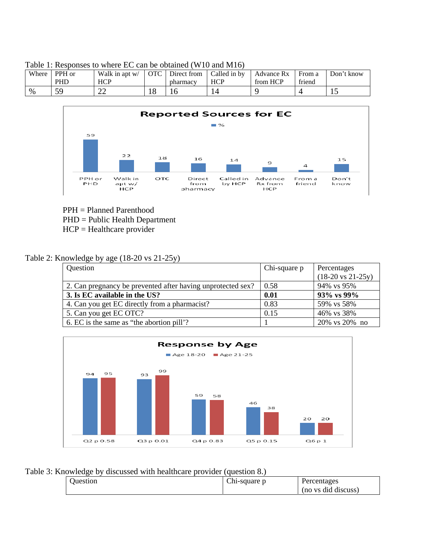| Where. | PPH or<br>PHD | Walk in apt w/<br><b>HCP</b> | <b>OTC</b> | Direct from<br>pharmacy | Called in by<br><b>HCP</b> | Advance Rx<br>from HCP | From a<br>friend | Don't know |
|--------|---------------|------------------------------|------------|-------------------------|----------------------------|------------------------|------------------|------------|
| $\%$   | 50            | <b>00</b><br>∠∠              | 10.        | 1¢                      |                            |                        |                  | ⊥⊷         |





PPH = Planned Parenthood

PHD = Public Health Department

HCP = Healthcare provider

# Table 2: Knowledge by age (18-20 vs 21-25y)

| Question                                                    | Chi-square p | Percentages                          |
|-------------------------------------------------------------|--------------|--------------------------------------|
|                                                             |              | $(18-20 \text{ vs } 21-25 \text{y})$ |
| 2. Can pregnancy be prevented after having unprotected sex? | 0.58         | 94% vs 95%                           |
| 3. Is EC available in the US?                               | 0.01         | 93% vs 99%                           |
| 4. Can you get EC directly from a pharmacist?               | 0.83         | 59% vs 58%                           |
| 5. Can you get EC OTC?                                      | 0.15         | 46% vs 38%                           |
| 6. EC is the same as "the abortion pill"?                   |              | 20% vs 20% no                        |



# Table 3: Knowledge by discussed with healthcare provider (question 8.)

| _________ | _____        |                     |
|-----------|--------------|---------------------|
| Juestion  | Chi-square p | Percentages         |
|           |              | (no vs did discuss) |